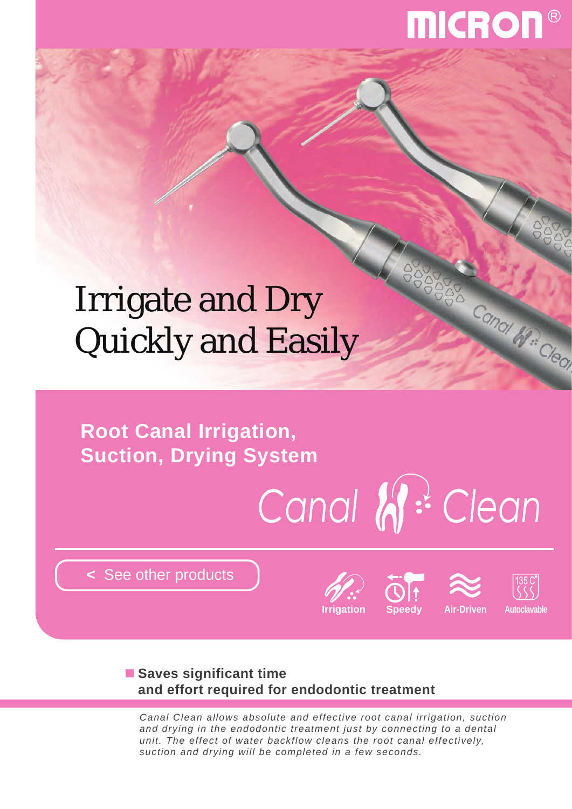# **MICRON**

# Irrigate and Dry Quickly and Easily

**Root Canal Irrigation, Suction, Drying System**

# Canal W: Clean

**<** [See other products](http://www.micdent.com/new_page/NeoM2/brochure.html)





3888



Canal He Clean

# **Saves significant time and effort required for endodontic treatment**

*Canal Clean allows absolute and effective root canal irrigation, suction and drying in the endodontic treatment just by connecting to a dental unit. The effect of water backflow cleans the root canal effectively, suction and drying will be completed in a few seconds.*